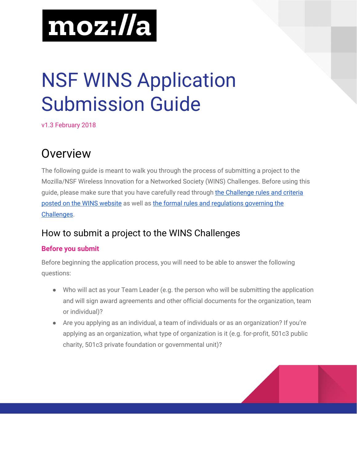

# NSF WINS Application Submission Guide

v1.3 February 2018

# Overview

The following guide is meant to walk you through the process of submitting a project to the Mozilla/NSF Wireless Innovation for a Networked Society (WINS) Challenges. Before using this guide, please make sure that you have carefully read through the [Challenge](https://wirelesschallenge.mozilla.org/) rules and criteria posted on the WINS [website](https://wirelesschallenge.mozilla.org/) as well as the formal rules and [regulations](https://wirelesschallenge.mozilla.org/rules-and-regulations/) governing the [Challenges](https://wirelesschallenge.mozilla.org/rules-and-regulations/).

## How to submit a project to the WINS Challenges

#### **Before you submit**

Before beginning the application process, you will need to be able to answer the following questions:

- Who will act as your Team Leader (e.g. the person who will be submitting the application and will sign award agreements and other official documents for the organization, team or individual)?
- Are you applying as an individual, a team of individuals or as an organization? If you're applying as an organization, what type of organization is it (e.g. for-profit, 501c3 public charity, 501c3 private foundation or governmental unit)?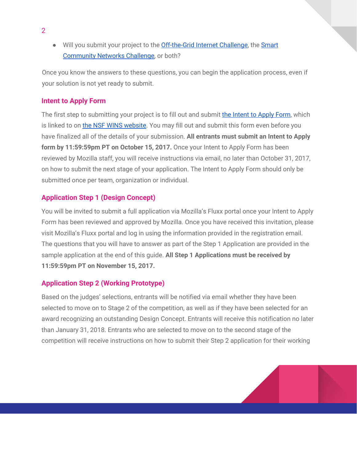● Will you submit your project to the **[Off-the-Grid](https://wirelesschallenge.mozilla.org/_assets/NSF-OffTheGrid.pdf) Internet Challenge**, the **[Smart](https://wirelesschallenge.mozilla.org/_assets/NSF-SmartCommunity.pdf)** [Community](https://wirelesschallenge.mozilla.org/_assets/NSF-SmartCommunity.pdf) Networks Challenge, or both?

Once you know the answers to these questions, you can begin the application process, even if your solution is not yet ready to submit.

#### **Intent to Apply Form**

The first step to submitting your project is to fill out and submit the [Intent](https://goo.gl/forms/mXDXAMhMBYWZNcUP2) to Apply Form, which is linked to on the NSF WINS [website](https://wirelesschallenge.mozilla.org/). You may fill out and submit this form even before you have finalized all of the details of your submission. **All entrants must submit an Intent to Apply form by 11:59:59pm PT on October 15, 2017.** Once your Intent to Apply Form has been reviewed by Mozilla staff, you will receive instructions via email, no later than October 31, 2017, on how to submit the next stage of your application. The Intent to Apply Form should only be submitted once per team, organization or individual.

#### **Application Step 1 (Design Concept)**

You will be invited to submit a full application via Mozilla's Fluxx portal once your Intent to Apply Form has been reviewed and approved by Mozilla. Once you have received this invitation, please visit Mozilla's Fluxx portal and log in using the information provided in the registration email. The questions that you will have to answer as part of the Step 1 Application are provided in the sample application at the end of this guide. **All Step 1 Applications must be received by 11:59:59pm PT on November 15, 2017.**

#### **Application Step 2 (Working Prototype)**

Based on the judges' selections, entrants will be notified via email whether they have been selected to move on to Stage 2 of the competition, as well as if they have been selected for an award recognizing an outstanding Design Concept. Entrants will receive this notification no later than January 31, 2018. Entrants who are selected to move on to the second stage of the competition will receive instructions on how to submit their Step 2 application for their working

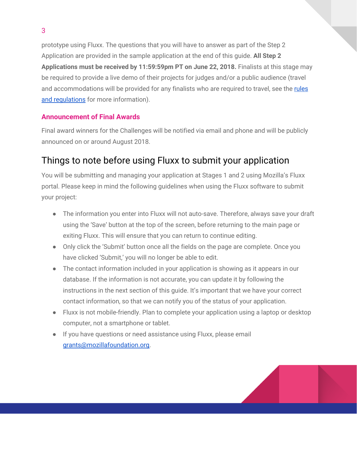prototype using Fluxx. The questions that you will have to answer as part of the Step 2 Application are provided in the sample application at the end of this guide. **All Step 2 Applications must be received by 11:59:59pm PT on June 22, 2018.** Finalists at this stage may be required to provide a live demo of their projects for judges and/or a public audience (travel and accommodations will be provided for any finalists who are required to travel, see the [rules](https://wirelesschallenge.mozilla.org/rules-and-regulations/) and [regulations](https://wirelesschallenge.mozilla.org/rules-and-regulations/) for more information).

#### **Announcement of Final Awards**

Final award winners for the Challenges will be notified via email and phone and will be publicly announced on or around August 2018.

## Things to note before using Fluxx to submit your application

You will be submitting and managing your application at Stages 1 and 2 using Mozilla's Fluxx portal. Please keep in mind the following guidelines when using the Fluxx software to submit your project:

- The information you enter into Fluxx will not auto-save. Therefore, always save your draft using the 'Save' button at the top of the screen, before returning to the main page or exiting Fluxx. This will ensure that you can return to continue editing.
- Only click the 'Submit' button once all the fields on the page are complete. Once you have clicked 'Submit,' you will no longer be able to edit.
- The contact information included in your application is showing as it appears in our database. If the information is not accurate, you can update it by following the instructions in the next section of this guide. It's important that we have your correct contact information, so that we can notify you of the status of your application.
- Fluxx is not mobile-friendly. Plan to complete your application using a laptop or desktop computer, not a smartphone or tablet.
- If you have questions or need assistance using Fluxx, please email [grants@mozillafoundation.org](mailto:grants@mozillafoundation.org).

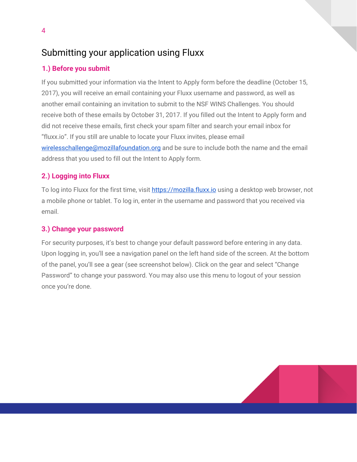## Submitting your application using Fluxx

#### **1.) Before you submit**

If you submitted your information via the Intent to Apply form before the deadline (October 15, 2017), you will receive an email containing your Fluxx username and password, as well as another email containing an invitation to submit to the NSF WINS Challenges. You should receive both of these emails by October 31, 2017. If you filled out the Intent to Apply form and did not receive these emails, first check your spam filter and search your email inbox for "fluxx.io". If you still are unable to locate your Fluxx invites, please email [wirelesschallenge@mozillafoundation.org](mailto:wirelesschallenge@mozillafoundation.org) and be sure to include both the name and the email address that you used to fill out the Intent to Apply form.

#### **2.) Logging into Fluxx**

To log into Fluxx for the first time, visit [https://mozilla.fluxx.io](http://mozilla.fluxx.io/) using a desktop web browser, not a mobile phone or tablet. To log in, enter in the username and password that you received via email.

#### **3.) Change your password**

For security purposes, it's best to change your default password before entering in any data. Upon logging in, you'll see a navigation panel on the left hand side of the screen. At the bottom of the panel, you'll see a gear (see screenshot below). Click on the gear and select "Change Password" to change your password. You may also use this menu to logout of your session once you're done.

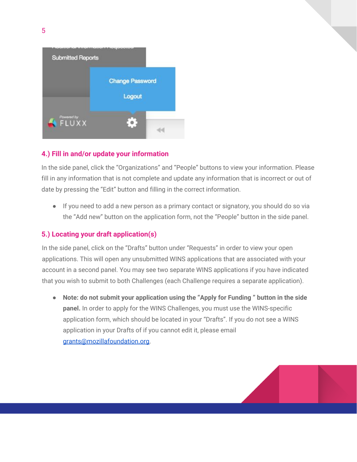

#### **4.) Fill in and/or update your information**

In the side panel, click the "Organizations" and "People" buttons to view your information. Please fill in any information that is not complete and update any information that is incorrect or out of date by pressing the "Edit" button and filling in the correct information.

● If you need to add a new person as a primary contact or signatory, you should do so via the "Add new" button on the application form, not the "People" button in the side panel.

#### **5.) Locating your draft application(s)**

In the side panel, click on the "Drafts" button under "Requests" in order to view your open applications. This will open any unsubmitted WINS applications that are associated with your account in a second panel. You may see two separate WINS applications if you have indicated that you wish to submit to both Challenges (each Challenge requires a separate application).

● **Note: do not submit your application using the "Apply for Funding " button in the side panel.** In order to apply for the WINS Challenges, you must use the WINS-specific application form, which should be located in your "Drafts". If you do not see a WINS application in your Drafts of if you cannot edit it, please email [grants@mozillafoundation.org](mailto:grants@mozillafoundation.org).

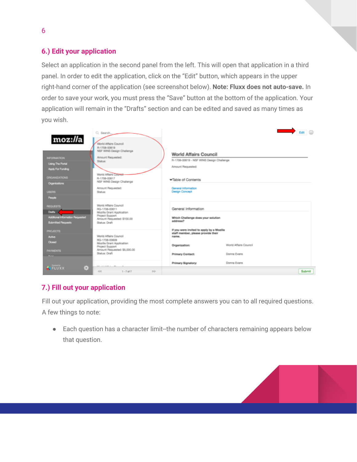#### **6.) Edit your application**

Select an application in the second panel from the left. This will open that application in a third panel. In order to edit the application, click on the "Edit" button, which appears in the upper right-hand corner of the application (see screenshot below). **Note: Fluxx does not auto-save.** In order to save your work, you must press the "Save" button at the bottom of the application. Your application will remain in the "Drafts" section and can be edited and saved as many times as you wish.

| moz://a<br><b>INFORMATION</b><br><b>Using The Portal</b><br>Apply For Funding<br><b>ORGANIZATIONS</b><br>Organizations<br><b>USERS</b><br>People | Q. Search.<br>World Affairs Council<br>R-1708-00619<br>NSF WINS Design Challenge<br>Amount Requested:<br>Status:<br>World Affairs Council<br>R-1708-00617<br>NSF WINS Design Challenge<br>Amount Requested:<br>Status: | <b>World Affairs Council</b><br>R-1708-00619 - NSF WINS Design Challenge<br>Amount Requested:<br>Table of Contents<br>General Information<br><b>Design Concept</b> |                                      | Edit E |
|--------------------------------------------------------------------------------------------------------------------------------------------------|------------------------------------------------------------------------------------------------------------------------------------------------------------------------------------------------------------------------|--------------------------------------------------------------------------------------------------------------------------------------------------------------------|--------------------------------------|--------|
| <b>REQUESTS</b><br><b>Drafts</b><br>Additional Information Requested<br><b>Submitted Requests</b>                                                | World Affairs Council<br>RG-1708-00611<br>Mozilla Grant Application<br>Project Support<br>Amount Requested: \$100.00<br>Status: Draft                                                                                  | General Information<br>Which Challenge does your solution<br>address?                                                                                              |                                      |        |
| <b>PROJECTS</b><br><b>Active</b><br>Closed<br><b>PAYMENTS</b>                                                                                    | World Affairs Council<br>RG-1708-00609<br>Mozilla Grant Application<br>Project Support<br>Amount Requested: \$5,000.00<br>Status: Draft                                                                                | If you were invited to apply by a Mozilla<br>staff member, please provide their<br>name.<br>Organization:<br>Primary Contact:                                      | World Affairs Council<br>Donna Evans |        |
| e,<br><b>AFLUXX</b>                                                                                                                              | ARA  2. 2. 20 Ph. 2.<br>$-0.4$<br>$1 - T df T$<br>$10-$                                                                                                                                                                | Primary Signatory:                                                                                                                                                 | Donna Evans                          | Submit |

#### **7.) Fill out your application**

Fill out your application, providing the most complete answers you can to all required questions. A few things to note:

● Each question has a character limit--the number of characters remaining appears below that question.

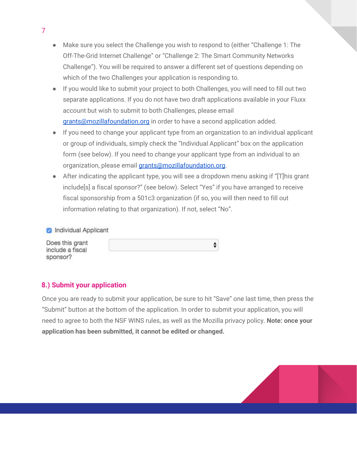- Make sure you select the Challenge you wish to respond to (either "Challenge 1: The Off-The-Grid Internet Challenge" or "Challenge 2: The Smart Community Networks Challenge"). You will be required to answer a different set of questions depending on which of the two Challenges your application is responding to.
- If you would like to submit your project to both Challenges, you will need to fill out two separate applications. If you do not have two draft applications available in your Fluxx account but wish to submit to both Challenges, please email [grants@mozillafoundation.org](mailto:grants@mozillafoundation.org) in order to have a second application added.
- If you need to change your applicant type from an organization to an individual applicant or group of individuals, simply check the "Individual Applicant" box on the application form (see below). If you need to change your applicant type from an individual to an organization, please email [grants@mozillafoundation.org](mailto:grants@mozillafoundation.org).
- After indicating the applicant type, you will see a dropdown menu asking if "[T]his grant include[s] a fiscal sponsor?" (see below). Select "Yes" if you have arranged to receive fiscal sponsorship from a 501c3 organization (if so, you will then need to fill out information relating to that organization). If not, select "No".

÷

Individual Applicant

Does this grant include a fiscal sponsor?

#### **8.) Submit your application**

Once you are ready to submit your application, be sure to hit "Save" one last time, then press the "Submit" button at the bottom of the application. In order to submit your application, you will need to agree to both the NSF WINS rules, as well as the Mozilla privacy policy. **Note: once your application has been submitted, it cannot be edited or changed.**

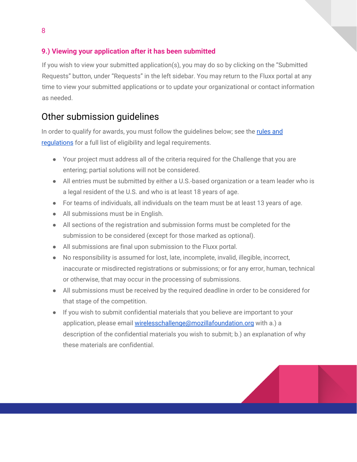#### **9.) Viewing your application after it has been submitted**

If you wish to view your submitted application(s), you may do so by clicking on the "Submitted Requests" button, under "Requests" in the left sidebar. You may return to the Fluxx portal at any time to view your submitted applications or to update your organizational or contact information as needed.

### Other submission guidelines

In order to qualify for awards, you must follow the guidelines below; see the [rules](https://wirelesschallenge.mozilla.org/rules-and-regulations/) and requlations for a full list of eligibility and legal requirements.

- Your project must address all of the criteria required for the Challenge that you are entering; partial solutions will not be considered.
- All entries must be submitted by either a U.S.-based organization or a team leader who is a legal resident of the U.S. and who is at least 18 years of age.
- For teams of individuals, all individuals on the team must be at least 13 years of age.
- All submissions must be in English.
- All sections of the registration and submission forms must be completed for the submission to be considered (except for those marked as optional).
- All submissions are final upon submission to the Fluxx portal.
- No responsibility is assumed for lost, late, incomplete, invalid, illegible, incorrect, inaccurate or misdirected registrations or submissions; or for any error, human, technical or otherwise, that may occur in the processing of submissions.
- All submissions must be received by the required deadline in order to be considered for that stage of the competition.
- If you wish to submit confidential materials that you believe are important to your application, please email [wirelesschallenge@mozillafoundation.org](mailto:wirelesschallenge@mozillafoundation.org) with a.) a description of the confidential materials you wish to submit; b.) an explanation of why these materials are confidential.

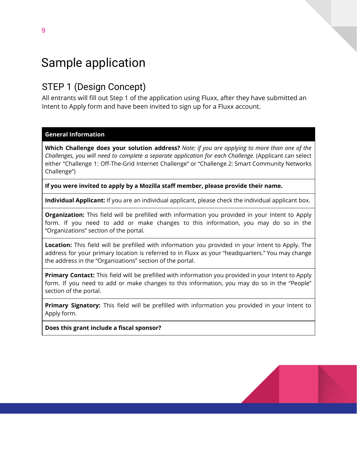# Sample application

## STEP 1 (Design Concept)

All entrants will fill out Step 1 of the application using Fluxx, after they have submitted an Intent to Apply form and have been invited to sign up for a Fluxx account.

#### **General Information**

**Which Challenge does your solution address?** *Note: if you are applying to more than one of the Challenges, you will need to complete a separate application for each Challenge.* (Applicant can select either "Challenge 1: Off-The-Grid Internet Challenge" or "Challenge 2: Smart Community Networks Challenge")

**If you were invited to apply by a Mozilla staff member, please provide their name.**

**Individual Applicant:** If you are an individual applicant, please check the individual applicant box.

**Organization:** This field will be prefilled with information you provided in your Intent to Apply form. If you need to add or make changes to this information, you may do so in the "Organizations" section of the portal.

**Location:** This field will be prefilled with information you provided in your Intent to Apply. The address for your primary location is referred to in Fluxx as your "headquarters." You may change the address in the "Organizations" section of the portal.

**Primary Contact:** This field will be prefilled with information you provided in your Intent to Apply form. If you need to add or make changes to this information, you may do so in the "People" section of the portal.

**Primary Signatory:** This field will be prefilled with information you provided in your Intent to Apply form.

**Does this grant include a fiscal sponsor?**

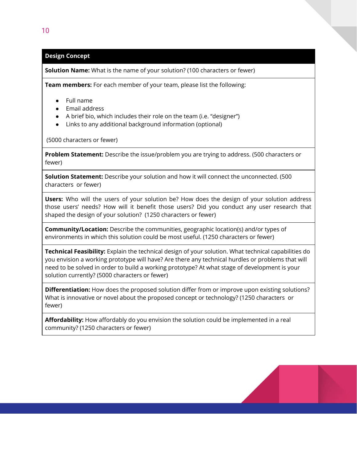#### **Design Concept**

**Solution Name:** What is the name of your solution? (100 characters or fewer)

**Team members:** For each member of your team, please list the following:

- Full name
- Email address
- A brief bio, which includes their role on the team (i.e. "designer")
- Links to any additional background information (optional)

(5000 characters or fewer)

**Problem Statement:** Describe the issue/problem you are trying to address. (500 characters or fewer)

**Solution Statement:** Describe your solution and how it will connect the unconnected. (500 characters or fewer)

**Users:** Who will the users of your solution be? How does the design of your solution address those users' needs? How will it benefit those users? Did you conduct any user research that shaped the design of your solution? (1250 characters or fewer)

**Community/Location:** Describe the communities, geographic location(s) and/or types of environments in which this solution could be most useful. (1250 characters or fewer)

**Technical Feasibility:** Explain the technical design of your solution. What technical capabilities do you envision a working prototype will have? Are there any technical hurdles or problems that will need to be solved in order to build a working prototype? At what stage of development is your solution currently? (5000 characters or fewer)

**Differentiation:** How does the proposed solution differ from or improve upon existing solutions? What is innovative or novel about the proposed concept or technology? (1250 characters or fewer)

**Affordability:** How affordably do you envision the solution could be implemented in a real community? (1250 characters or fewer)

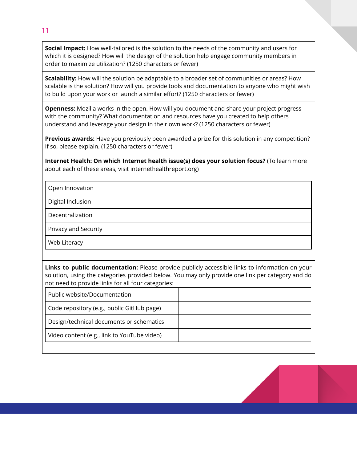**Social Impact:** How well-tailored is the solution to the needs of the community and users for which it is designed? How will the design of the solution help engage community members in order to maximize utilization? (1250 characters or fewer)

**Scalability:** How will the solution be adaptable to a broader set of communities or areas? How scalable is the solution? How will you provide tools and documentation to anyone who might wish to build upon your work or launch a similar effort? (1250 characters or fewer)

**Openness:** Mozilla works in the open. How will you document and share your project progress with the community? What documentation and resources have you created to help others understand and leverage your design in their own work? (1250 characters or fewer)

**Previous awards:** Have you previously been awarded a prize for this solution in any competition? If so, please explain. (1250 characters or fewer)

**Internet Health: On which Internet health issue(s) does your solution focus?** (To learn more about each of these areas, visit internethealthreport.org)

Open Innovation

Digital Inclusion

Decentralization

Privacy and Security

Web Literacy

**Links to public documentation:** Please provide publicly-accessible links to information on your solution, using the categories provided below. You may only provide one link per category and do not need to provide links for all four categories:

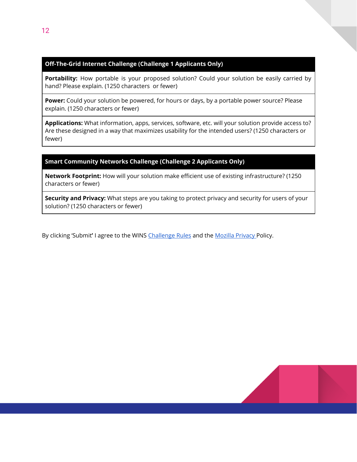#### **Off-The-Grid Internet Challenge (Challenge 1 Applicants Only)**

Portability: How portable is your proposed solution? Could your solution be easily carried by hand? Please explain. (1250 characters or fewer)

**Power:** Could your solution be powered, for hours or days, by a portable power source? Please explain. (1250 characters or fewer)

**Applications:** What information, apps, services, software, etc. will your solution provide access to? Are these designed in a way that maximizes usability for the intended users? (1250 characters or fewer)

#### **Smart Community Networks Challenge (Challenge 2 Applicants Only)**

**Network Footprint:** How will your solution make efficient use of existing infrastructure? (1250 characters or fewer)

**Security and Privacy:** What steps are you taking to protect privacy and security for users of your solution? (1250 characters or fewer)

By clicking 'Submit**'** I agree to the WINS [Challenge](https://wirelesschallenge.mozilla.org/rules-and-regulations/) Rules and the Mozilla [Privacy](https://www.mozilla.org/privacy/websites/) Policy.

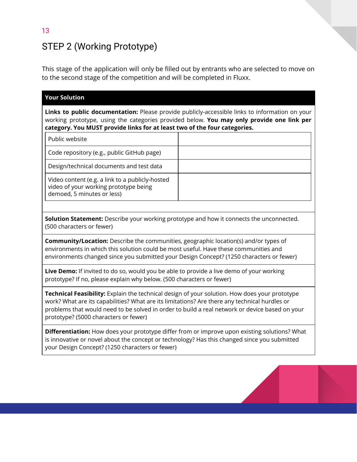## STEP 2 (Working Prototype)

This stage of the application will only be filled out by entrants who are selected to move on to the second stage of the competition and will be completed in Fluxx.

| <b>Your Solution</b>                                                                                                                                                                                                                                                                                                                      |                                                                                                                                                                                             |
|-------------------------------------------------------------------------------------------------------------------------------------------------------------------------------------------------------------------------------------------------------------------------------------------------------------------------------------------|---------------------------------------------------------------------------------------------------------------------------------------------------------------------------------------------|
| category. You MUST provide links for at least two of the four categories.                                                                                                                                                                                                                                                                 | Links to public documentation: Please provide publicly-accessible links to information on your<br>working prototype, using the categories provided below. You may only provide one link per |
| Public website                                                                                                                                                                                                                                                                                                                            |                                                                                                                                                                                             |
| Code repository (e.g., public GitHub page)                                                                                                                                                                                                                                                                                                |                                                                                                                                                                                             |
| Design/technical documents and test data                                                                                                                                                                                                                                                                                                  |                                                                                                                                                                                             |
| Video content (e.g. a link to a publicly-hosted<br>video of your working prototype being<br>demoed, 5 minutes or less)                                                                                                                                                                                                                    |                                                                                                                                                                                             |
|                                                                                                                                                                                                                                                                                                                                           |                                                                                                                                                                                             |
| Solution Statement: Describe your working prototype and how it connects the unconnected.<br>(500 characters or fewer)                                                                                                                                                                                                                     |                                                                                                                                                                                             |
| <b>Community/Location:</b> Describe the communities, geographic location(s) and/or types of<br>environments in which this solution could be most useful. Have these communities and<br>environments changed since you submitted your Design Concept? (1250 characters or fewer)                                                           |                                                                                                                                                                                             |
| Live Demo: If invited to do so, would you be able to provide a live demo of your working<br>prototype? If no, please explain why below. (500 characters or fewer)                                                                                                                                                                         |                                                                                                                                                                                             |
| Technical Feasibility: Explain the technical design of your solution. How does your prototype<br>work? What are its capabilities? What are its limitations? Are there any technical hurdles or<br>problems that would need to be solved in order to build a real network or device based on your<br>prototype? (5000 characters or fewer) |                                                                                                                                                                                             |
| Differentiation: How does your prototype differ from or improve upon existing solutions? What<br>is innovative or novel about the concept or technology? Has this changed since you submitted<br>your Design Concept? (1250 characters or fewer)                                                                                          |                                                                                                                                                                                             |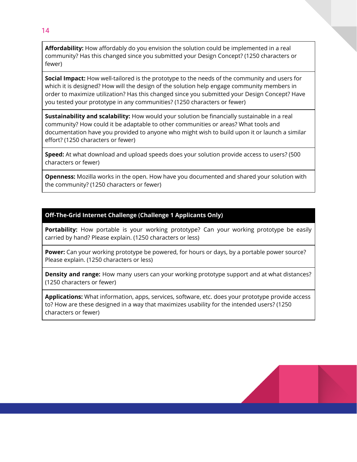**Affordability:** How affordably do you envision the solution could be implemented in a real community? Has this changed since you submitted your Design Concept? (1250 characters or fewer)

**Social Impact:** How well-tailored is the prototype to the needs of the community and users for which it is designed? How will the design of the solution help engage community members in order to maximize utilization? Has this changed since you submitted your Design Concept? Have you tested your prototype in any communities? (1250 characters or fewer)

**Sustainability and scalability:** How would your solution be financially sustainable in a real community? How could it be adaptable to other communities or areas? What tools and documentation have you provided to anyone who might wish to build upon it or launch a similar effort? (1250 characters or fewer)

**Speed:** At what download and upload speeds does your solution provide access to users? (500 characters or fewer)

**Openness:** Mozilla works in the open. How have you documented and shared your solution with the community? (1250 characters or fewer)

#### **Off-The-Grid Internet Challenge (Challenge 1 Applicants Only)**

**Portability:** How portable is your working prototype? Can your working prototype be easily carried by hand? Please explain. (1250 characters or less)

**Power:** Can your working prototype be powered, for hours or days, by a portable power source? Please explain. (1250 characters or less)

**Density and range:** How many users can your working prototype support and at what distances? (1250 characters or fewer)

**Applications:** What information, apps, services, software, etc. does your prototype provide access to? How are these designed in a way that maximizes usability for the intended users? (1250 characters or fewer)